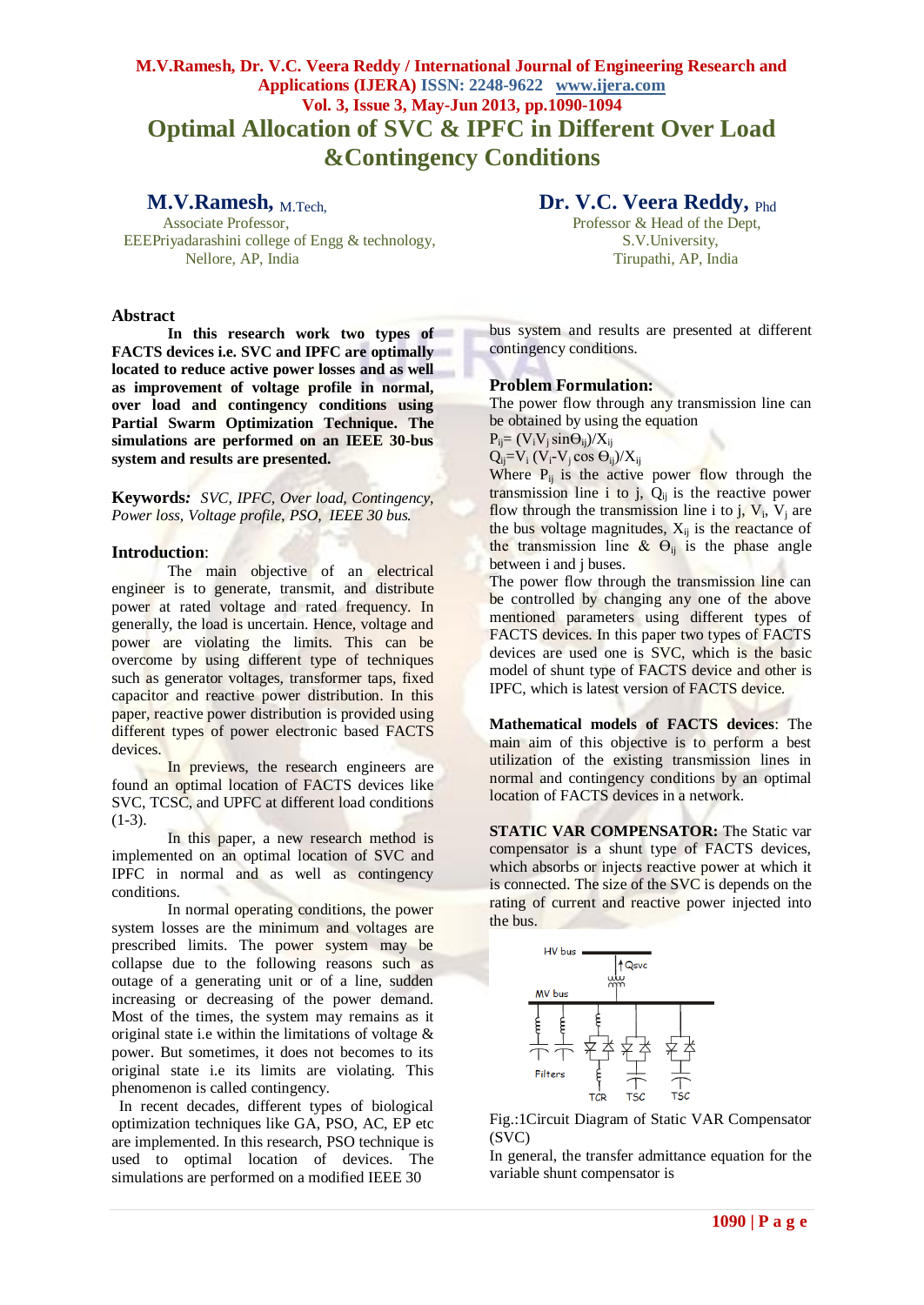# **M.V.Ramesh, Dr. V.C. Veera Reddy / International Journal of Engineering Research and Applications (IJERA) ISSN: 2248-9622 www.ijera.com Vol. 3, Issue 3, May-Jun 2013, pp.1090-1094 Optimal Allocation of SVC & IPFC in Different Over Load &Contingency Conditions**

**M.V.Ramesh,** M.Tech, EEEPriyadarashini college of Engg & technology, S.V.University, Nellore, AP, India Tirupathi, AP, India

#### **Abstract**

**In this research work two types of FACTS devices i.e. SVC and IPFC are optimally located to reduce active power losses and as well as improvement of voltage profile in normal, over load and contingency conditions using Partial Swarm Optimization Technique. The simulations are performed on an IEEE 30-bus system and results are presented.**

**Keywords***: SVC, IPFC, Over load, Contingency, Power loss, Voltage profile, PSO, IEEE 30 bus.*

#### **Introduction**:

The main objective of an electrical engineer is to generate, transmit, and distribute power at rated voltage and rated frequency. In generally, the load is uncertain. Hence, voltage and power are violating the limits. This can be overcome by using different type of techniques such as generator voltages, transformer taps, fixed capacitor and reactive power distribution. In this paper, reactive power distribution is provided using different types of power electronic based FACTS devices.

In previews, the research engineers are found an optimal location of FACTS devices like SVC, TCSC, and UPFC at different load conditions  $(1-3)$ .

In this paper, a new research method is implemented on an optimal location of SVC and IPFC in normal and as well as contingency conditions.

In normal operating conditions, the power system losses are the minimum and voltages are prescribed limits. The power system may be collapse due to the following reasons such as outage of a generating unit or of a line, sudden increasing or decreasing of the power demand. Most of the times, the system may remains as it original state i.e within the limitations of voltage  $\&$ power. But sometimes, it does not becomes to its original state i.e its limits are violating. This phenomenon is called contingency.

 In recent decades, different types of biological optimization techniques like GA, PSO, AC, EP etc are implemented. In this research, PSO technique is used to optimal location of devices. The simulations are performed on a modified IEEE 30

 **Dr. V.C. Veera Reddy,** Phd

Professor & Head of the Dept,

bus system and results are presented at different contingency conditions.

### **Problem Formulation:**

The power flow through any transmission line can be obtained by using the equation

 $P_{ii}=(V_iV_i\sin\Theta_{ii})/X_{ii}$ 

 $Q_{ij} = V_i (V_i - V_j \cos \Theta_{ij})/X_{ij}$ 

Where  $P_{ij}$  is the active power flow through the transmission line  $i$  to  $j$ ,  $Q_{ij}$  is the reactive power flow through the transmission line i to  $j$ ,  $V_i$ ,  $V_j$  are the bus voltage magnitudes,  $X_{ij}$  is the reactance of the transmission line  $\&$   $\Theta_{ii}$  is the phase angle between i and j buses.

The power flow through the transmission line can be controlled by changing any one of the above mentioned parameters using different types of FACTS devices. In this paper two types of FACTS devices are used one is SVC, which is the basic model of shunt type of FACTS device and other is IPFC, which is latest version of FACTS device.

**Mathematical models of FACTS devices**: The main aim of this objective is to perform a best utilization of the existing transmission lines in normal and contingency conditions by an optimal location of FACTS devices in a network.

**STATIC VAR COMPENSATOR:** The Static var compensator is a shunt type of FACTS devices, which absorbs or injects reactive power at which it is connected. The size of the SVC is depends on the rating of current and reactive power injected into the bus.



Fig.:1Circuit Diagram of Static VAR Compensator (SVC)

In general, the transfer admittance equation for the variable shunt compensator is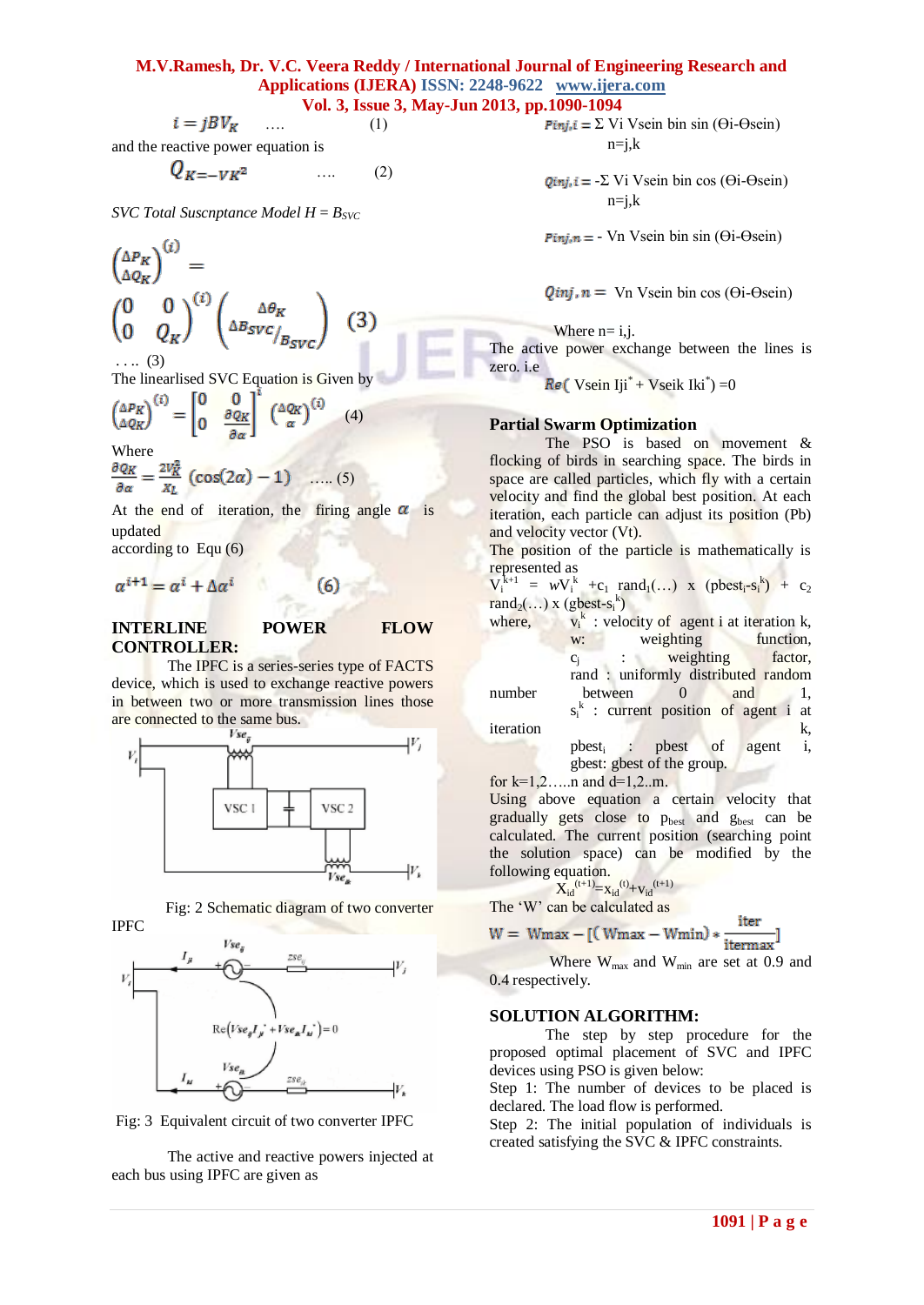# **M.V.Ramesh, Dr. V.C. Veera Reddy / International Journal of Engineering Research and Applications (IJERA) ISSN: 2248-9622 www.ijera.com**

**Vol. 3, Issue 3, May-Jun 2013, pp.1090-1094**  $i = i B V_{\kappa}$  (1)

and the reactive power equation is

$$
Q_{K=-VK^2} \qquad \qquad \dots \qquad (2)
$$

*SVC Total Suscnptance Model*  $H = B_{SVC}$ 

$$
\begin{pmatrix}\n\Delta P_K \\
\Delta Q_K\n\end{pmatrix}^{(i)} = \n\begin{pmatrix}\n0 & 0 \\
0 & Q_K\n\end{pmatrix}^{(i)} \begin{pmatrix}\n\Delta \theta_K \\
\Delta B_{SVC}/B_{SVC}\n\end{pmatrix} \tag{3}
$$

. . .. (3)

The linearlised SVC Equation is Given by

$$
\begin{pmatrix} \Delta P_K \\ \Delta Q_K \end{pmatrix}^{(i)} = \begin{bmatrix} 0 & 0 \\ 0 & \frac{\partial Q_K}{\partial \alpha} \end{bmatrix}^{(i)} \begin{pmatrix} \Delta Q_K \\ \alpha \end{pmatrix}^{(i)}
$$

Where

$$
\frac{\partial \varrho_K}{\partial \alpha} = \frac{2V_K^2}{x_L} \left( \cos(2\alpha) - 1 \right) \quad \dots (5)
$$

At the end of iteration, the firing angle  $\alpha$  is updated

(4)

according to Equ (6)

$$
\alpha^{i+1} = \alpha^i + \Delta \alpha^i \tag{6}
$$

# **INTERLINE POWER FLOW CONTROLLER:**

The IPFC is a series-series type of FACTS device, which is used to exchange reactive powers in between two or more transmission lines those are connected to the same bus.







Fig: 3 Equivalent circuit of two converter IPFC

The active and reactive powers injected at each bus using IPFC are given as

 $\text{Pin}_i$ i =  $\Sigma$  Vi Vsein bin sin ( $\Theta$ i- $\Theta$ sein)  $n=i,k$ 

 $Qini, i = -\sum Vi Vsein bin \cos (\Theta i - \Theta)$  $n=i,k$ 

 $Pinj, n = - Vn$  Vsein bin sin ( $\Theta$ i- $\Theta$ sein)

 $Q$ *inj*,  $n = \text{Vn}$  Vsein bin cos ( $\Theta$ *i*- $\Theta$ sein)

Where  $n=$  i, j.

The active power exchange between the lines is zero. i.e

Vsein  $Iji^*$  + Vseik Iki $^*$ ) = 0

### **Partial Swarm Optimization**

The PSO is based on movement & flocking of birds in searching space. The birds in space are called particles, which fly with a certain velocity and find the global best position. At each iteration, each particle can adjust its position (Pb) and velocity vector (Vt).

The position of the particle is mathematically is represented as

 $V_i^{k+1} = wV_i^k + c_1 \text{ rand}_1(...) \text{ x (pbest}_i - s_i^k) + c_2$  $\text{rand}_2(\ldots)$  x (gbest-s<sub>i</sub><sup>k</sup>)

where,  $v_i^k : v_j^k$  $v_i^k$ : velocity of agent i at iteration k, weighting function,  $c_i$ : weighting factor, rand : uniformly distributed random number between 0 and 1,  $s_i^k$  : current position of agent i at iteration k, pbest<sub>i</sub>: pbest of agent i, gbest: gbest of the group. for  $k=1,2,...n$  and  $d=1,2...m$ .

Using above equation a certain velocity that gradually gets close to p<sub>best</sub> and g<sub>best</sub> can be calculated. The current position (searching point the solution space) can be modified by the following equation.

$$
X_{id}^{(t+1)} = x_{id}^{(t)} + v_{id}^{(t+1)}
$$

The 'W' can be calculated as

$$
W = Wmax - [(Wmax - Wmin) * \frac{iter}{itermax}]
$$

Where  $W_{max}$  and  $W_{min}$  are set at 0.9 and 0.4 respectively.

#### **SOLUTION ALGORITHM:**

The step by step procedure for the proposed optimal placement of SVC and IPFC devices using PSO is given below:

Step 1: The number of devices to be placed is declared. The load flow is performed.

Step 2: The initial population of individuals is created satisfying the SVC & IPFC constraints.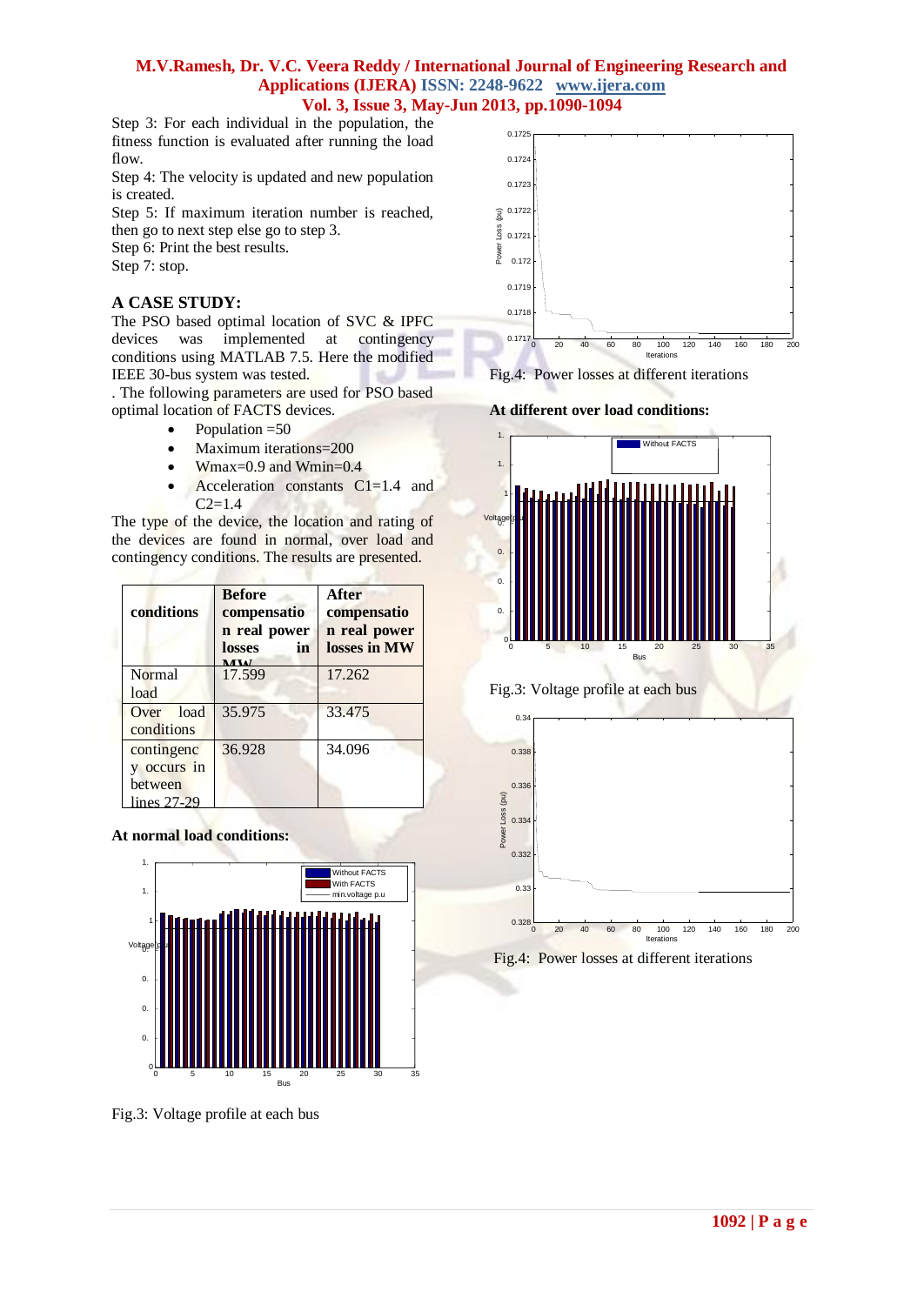## **M.V.Ramesh, Dr. V.C. Veera Reddy / International Journal of Engineering Research and Applications (IJERA) ISSN: 2248-9622 www.ijera.com Vol. 3, Issue 3, May-Jun 2013, pp.1090-1094**

Step 3: For each individual in the population, the fitness function is evaluated after running the load flow.

Step 4: The velocity is updated and new population is created.

Step 5: If maximum iteration number is reached, then go to next step else go to step 3.

Step 6: Print the best results.

Step 7: stop.

# **A CASE STUDY:**

The PSO based optimal location of SVC & IPFC devices was implemented at contingency conditions using MATLAB 7.5. Here the modified IEEE 30-bus system was tested.

. The following parameters are used for PSO based optimal location of FACTS devices.

- Population =50
- Maximum iterations=200
- Wmax=0.9 and Wmin=0.4
- Acceleration constants C1=1.4 and  $C2=1.4$

The type of the device, the location and rating of the devices are found in normal, over load and contingency conditions. The results are presented.

| conditions                                          | <b>Before</b><br>compensatio<br>n real power<br>losses<br>in<br><b>MAX</b> | After<br>compensatio<br>n real power<br>losses in MW |
|-----------------------------------------------------|----------------------------------------------------------------------------|------------------------------------------------------|
| Normal<br>load                                      | 17.599                                                                     | 17.262                                               |
| Over load<br>conditions                             | 35.975                                                                     | 33.475                                               |
| contingenc<br>y occurs in<br>between<br>lines 27-29 | 36.928                                                                     | 34.096                                               |

## **At normal load conditions:**



Fig.3: Voltage profile at each bus













Fig.4: Power losses at different iterations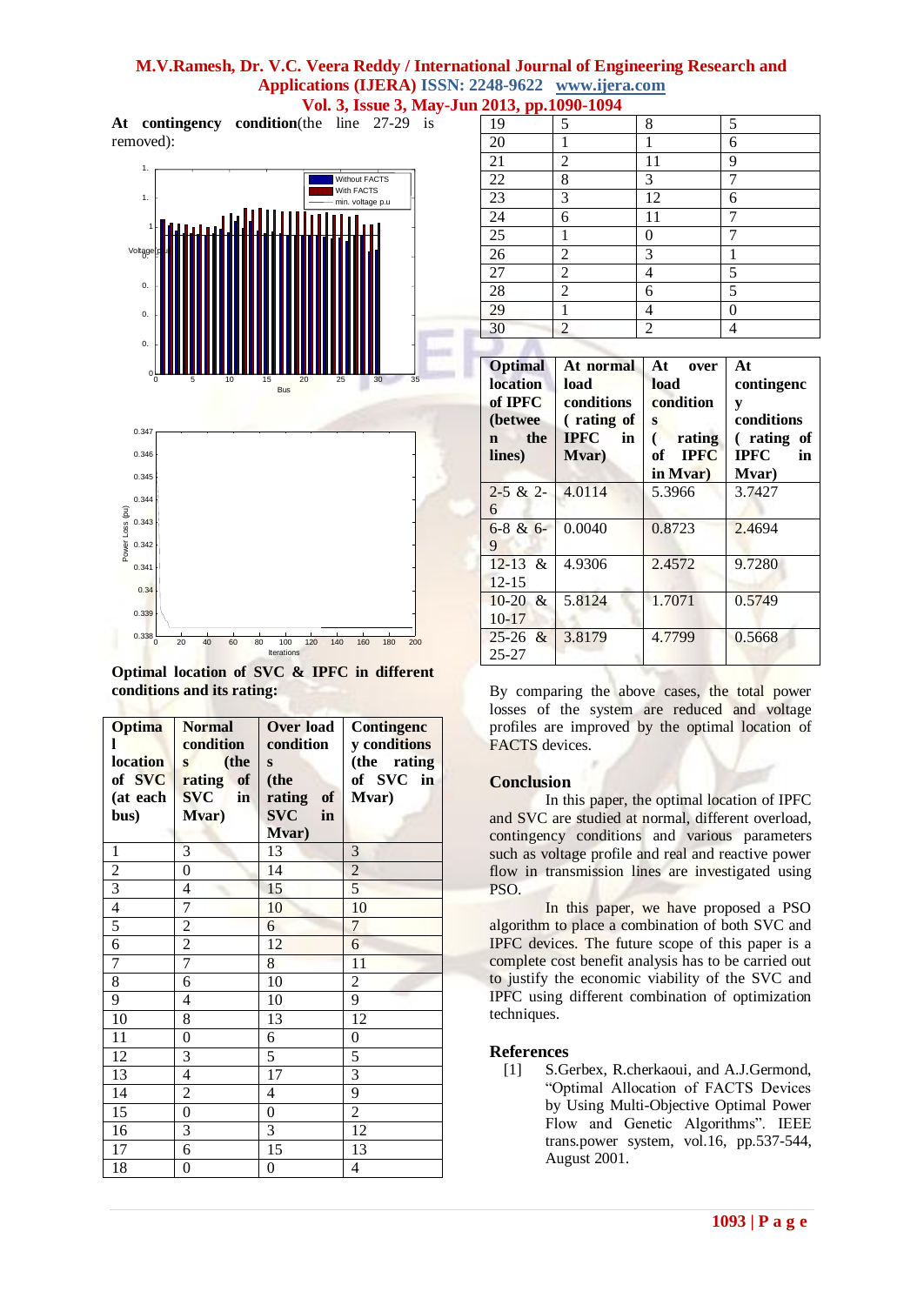# **M.V.Ramesh, Dr. V.C. Veera Reddy / International Journal of Engineering Research and Applications (IJERA) ISSN: 2248-9622 www.ijera.com**

**Vol. 3, Issue 3, May-Jun 2013, pp.1090-1094**

**At contingency condition**(the line 27-29 is removed):



**Optimal location of SVC & IPFC in different conditions and its rating:**

| <b>Optima</b><br><b>location</b> | <b>Normal</b><br>condition<br>(the<br>S | Over load<br>condition<br>S | <b>Contingenc</b><br>y conditions<br>(the rating |
|----------------------------------|-----------------------------------------|-----------------------------|--------------------------------------------------|
| of SVC                           | of<br>rating                            | (the                        | of SVC<br>in                                     |
| (at each                         | <b>SVC</b><br>in                        | rating<br>of                | Mvar)                                            |
| bus)                             | Mvar)                                   | <b>SVC</b><br>in            |                                                  |
|                                  |                                         | Mvar)                       |                                                  |
| $\,1$                            | 3                                       | 13                          | 3                                                |
| $\overline{2}$                   | $\overline{0}$                          | 14                          | $\overline{2}$                                   |
| $\frac{3}{4}$                    | 4                                       | 15                          | $\overline{5}$                                   |
|                                  | 7                                       | 10                          | 10                                               |
| 5                                | $\overline{c}$                          | 6                           | $\overline{7}$                                   |
| $\overline{6}$                   | $\overline{2}$                          | 12                          | 6                                                |
| $\overline{7}$                   | 7                                       | 8                           | 11                                               |
| 8                                | 6                                       | 10                          | $\overline{c}$                                   |
| 9                                | 4                                       | 10                          | 9                                                |
| 10                               | 8                                       | 13                          | 12                                               |
| 11                               | 0                                       | 6                           | $\boldsymbol{0}$                                 |
| 12                               | 3                                       | 5                           | 5                                                |
| 13                               | $\overline{4}$                          | 17                          | $\overline{3}$                                   |
| 14                               | $\overline{c}$                          | 4                           | 9                                                |
| 15                               | $\overline{0}$                          | $\boldsymbol{0}$            | $\overline{2}$                                   |
| 16                               | 3                                       | 3                           | 12                                               |
| 17                               | 6                                       | 15                          | 13                                               |
| 18                               | 0                                       | $\overline{0}$              | 4                                                |

| 19              | 5              | 8                | 5              |
|-----------------|----------------|------------------|----------------|
| 20              | 1              | 1                | 6              |
| $\overline{21}$ | $\sqrt{2}$     | 11               | 9              |
| 22              | 8              | 3                | 7              |
| 23              | 3              | 12               | 6              |
| 24              | 6              | 11               | 7              |
| $\overline{25}$ | 1              | $\boldsymbol{0}$ |                |
| $\overline{26}$ | 2              | 3                | 1              |
| 27              | $\overline{c}$ | 4                | 5              |
| 28              | $\overline{2}$ | 6                | 5              |
| 29              | 1              | 4                | $\overline{0}$ |
| 30              | $\overline{2}$ | $\overline{2}$   | 4              |

| <b>Optimal</b><br><b>location</b><br>of IPFC<br>(betwee)<br>the<br>$\mathbf n$<br>lines) | At normal<br>load<br>conditions<br>(rating of<br><b>IPFC</b><br>in<br>Mvar) | At .<br>over<br>load<br>condition<br>S<br>rating<br>of <b>IPFC</b><br>in Mvar) | At<br>contingenc<br>y<br>conditions<br>(rating of<br><b>IPFC</b><br>in<br>Mvar) |
|------------------------------------------------------------------------------------------|-----------------------------------------------------------------------------|--------------------------------------------------------------------------------|---------------------------------------------------------------------------------|
| $2 - 5 & 2 -$<br>6                                                                       | 4.0114                                                                      | 5.3966                                                                         | 3.7427                                                                          |
| $6-8$ & $6-$<br>9                                                                        | 0.0040                                                                      | 0.8723                                                                         | 2.4694                                                                          |
| $12 - 13 \&$<br>$12 - 15$                                                                | 4.9306                                                                      | 2.4572                                                                         | 9.7280                                                                          |
| $10-20$ &<br>$10-17$                                                                     | 5.8124                                                                      | 1.7071                                                                         | 0.5749                                                                          |
| $25-26$ &<br>$25 - 27$                                                                   | 3.8179                                                                      | 4.7799                                                                         | 0.5668                                                                          |

By comparing the above cases, the total power losses of the system are reduced and voltage profiles are improved by the optimal location of FACTS devices.

#### **Conclusion**

In this paper, the optimal location of IPFC and SVC are studied at normal, different overload, contingency conditions and various parameters such as voltage profile and real and reactive power flow in transmission lines are investigated using PSO.

In this paper, we have proposed a PSO algorithm to place a combination of both SVC and IPFC devices. The future scope of this paper is a complete cost benefit analysis has to be carried out to justify the economic viability of the SVC and IPFC using different combination of optimization techniques.

#### **References**

[1] S.Gerbex, R.cherkaoui, and A.J.Germond, "Optimal Allocation of FACTS Devices by Using Multi-Objective Optimal Power Flow and Genetic Algorithms". IEEE trans.power system, vol.16, pp.537-544, August 2001.